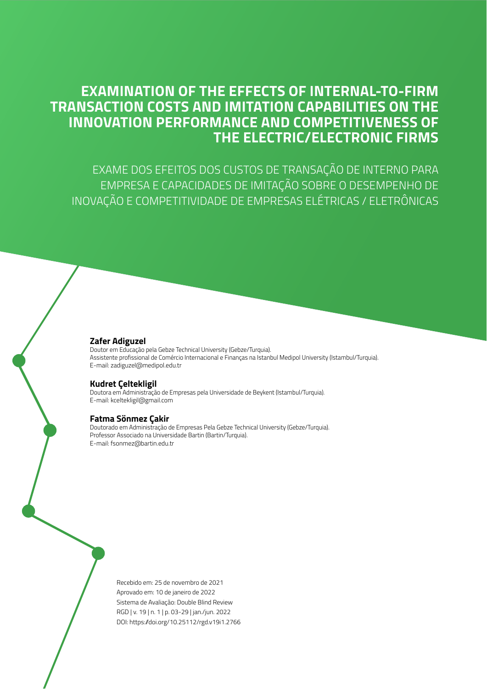## **EXAMINATION OF THE EFFECTS OF INTERNAL-TO-FIRM TRANSACTION COSTS AND IMITATION CAPABILITIES ON THE INNOVATION PERFORMANCE AND COMPETITIVENESS OF THE ELECTRIC/ELECTRONIC FIRMS**

EXAME DOS EFEITOS DOS CUSTOS DE TRANSAÇÃO DE INTERNO PARA EMPRESA E CAPACIDADES DE IMITAÇÃO SOBRE O DESEMPENHO DE INOVAÇÃO E COMPETITIVIDADE DE EMPRESAS ELÉTRICAS / ELETRÔNICAS

#### **Zafer Adiguzel**

Doutor em Educação pela Gebze Technical University (Gebze/Turquia). Assistente profissional de Comércio Internacional e Finanças na Istanbul Medipol University (Istambul/Turquia). E-mail: zadiguzel@medipol.edu.tr

#### **Kudret Çeltekligil**

Doutora em Administração de Empresas pela Universidade de Beykent (Istambul/Turquia). E-mail: kceltekligil@gmail.com

#### **Fatma Sönmez Çakir**

Doutorado em Administração de Empresas Pela Gebze Technical University (Gebze/Turquia). Professor Associado na Universidade Bartin (Bartin/Turquia). E-mail: fsonmez@bartin.edu.tr

> Recebido em: 25 de novembro de 2021 Aprovado em: 10 de janeiro de 2022 Sistema de Avaliação: Double Blind Review RGD | v. 19 | n. 1 | p. 03-29 | jan./jun. 2022 DOI: https://doi.org/10.25112/rgd.v19i1.2766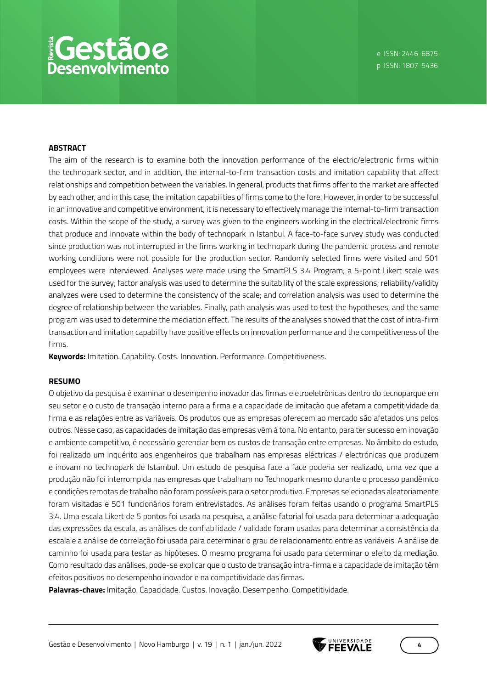#### **ABSTRACT**

The aim of the research is to examine both the innovation performance of the electric/electronic firms within the technopark sector, and in addition, the internal-to-firm transaction costs and imitation capability that affect relationships and competition between the variables. In general, products that firms offer to the market are affected by each other, and in this case, the imitation capabilities of firms come to the fore. However, in order to be successful in an innovative and competitive environment, it is necessary to effectively manage the internal-to-firm transaction costs. Within the scope of the study, a survey was given to the engineers working in the electrical/electronic firms that produce and innovate within the body of technopark in Istanbul. A face-to-face survey study was conducted since production was not interrupted in the firms working in technopark during the pandemic process and remote working conditions were not possible for the production sector. Randomly selected firms were visited and 501 employees were interviewed. Analyses were made using the SmartPLS 3.4 Program; a 5-point Likert scale was used for the survey; factor analysis was used to determine the suitability of the scale expressions; reliability/validity analyzes were used to determine the consistency of the scale; and correlation analysis was used to determine the degree of relationship between the variables. Finally, path analysis was used to test the hypotheses, and the same program was used to determine the mediation effect. The results of the analyses showed that the cost of intra-firm transaction and imitation capability have positive effects on innovation performance and the competitiveness of the firms.

**Keywords:** Imitation. Capability. Costs. Innovation. Performance. Competitiveness.

#### **RESUMO**

O objetivo da pesquisa é examinar o desempenho inovador das firmas eletroeletrônicas dentro do tecnoparque em seu setor e o custo de transação interno para a firma e a capacidade de imitação que afetam a competitividade da firma e as relações entre as variáveis. Os produtos que as empresas oferecem ao mercado são afetados uns pelos outros. Nesse caso, as capacidades de imitação das empresas vêm à tona. No entanto, para ter sucesso em inovação e ambiente competitivo, é necessário gerenciar bem os custos de transação entre empresas. No âmbito do estudo, foi realizado um inquérito aos engenheiros que trabalham nas empresas eléctricas / electrónicas que produzem e inovam no technopark de Istambul. Um estudo de pesquisa face a face poderia ser realizado, uma vez que a produção não foi interrompida nas empresas que trabalham no Technopark mesmo durante o processo pandêmico e condições remotas de trabalho não foram possíveis para o setor produtivo. Empresas selecionadas aleatoriamente foram visitadas e 501 funcionários foram entrevistados. As análises foram feitas usando o programa SmartPLS 3.4. Uma escala Likert de 5 pontos foi usada na pesquisa, a análise fatorial foi usada para determinar a adequação das expressões da escala, as análises de confiabilidade / validade foram usadas para determinar a consistência da escala e a análise de correlação foi usada para determinar o grau de relacionamento entre as variáveis. A análise de caminho foi usada para testar as hipóteses. O mesmo programa foi usado para determinar o efeito da mediação. Como resultado das análises, pode-se explicar que o custo de transação intra-firma e a capacidade de imitação têm efeitos positivos no desempenho inovador e na competitividade das firmas.

**Palavras-chave:** Imitação. Capacidade. Custos. Inovação. Desempenho. Competitividade.

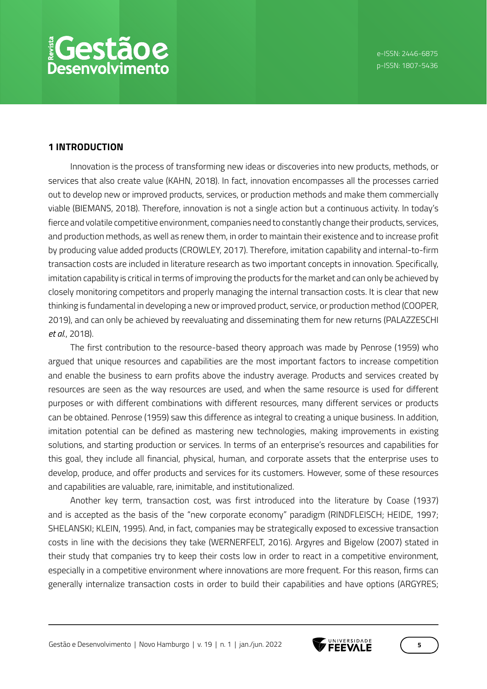## **1 INTRODUCTION**

Innovation is the process of transforming new ideas or discoveries into new products, methods, or services that also create value (KAHN, 2018). In fact, innovation encompasses all the processes carried out to develop new or improved products, services, or production methods and make them commercially viable (BIEMANS, 2018). Therefore, innovation is not a single action but a continuous activity. In today's fierce and volatile competitive environment, companies need to constantly change their products, services, and production methods, as well as renew them, in order to maintain their existence and to increase profit by producing value added products (CROWLEY, 2017). Therefore, imitation capability and internal-to-firm transaction costs are included in literature research as two important concepts in innovation. Specifically, imitation capability is critical in terms of improving the products for the market and can only be achieved by closely monitoring competitors and properly managing the internal transaction costs. It is clear that new thinking is fundamental in developing a new or improved product, service, or production method (COOPER, 2019), and can only be achieved by reevaluating and disseminating them for new returns (PALAZZESCHI *et al*., 2018).

The first contribution to the resource-based theory approach was made by Penrose (1959) who argued that unique resources and capabilities are the most important factors to increase competition and enable the business to earn profits above the industry average. Products and services created by resources are seen as the way resources are used, and when the same resource is used for different purposes or with different combinations with different resources, many different services or products can be obtained. Penrose (1959) saw this difference as integral to creating a unique business. In addition, imitation potential can be defined as mastering new technologies, making improvements in existing solutions, and starting production or services. In terms of an enterprise's resources and capabilities for this goal, they include all financial, physical, human, and corporate assets that the enterprise uses to develop, produce, and offer products and services for its customers. However, some of these resources and capabilities are valuable, rare, inimitable, and institutionalized.

Another key term, transaction cost, was first introduced into the literature by Coase (1937) and is accepted as the basis of the "new corporate economy" paradigm (RINDFLEISCH; HEIDE, 1997; SHELANSKI; KLEIN, 1995). And, in fact, companies may be strategically exposed to excessive transaction costs in line with the decisions they take (WERNERFELT, 2016). Argyres and Bigelow (2007) stated in their study that companies try to keep their costs low in order to react in a competitive environment, especially in a competitive environment where innovations are more frequent. For this reason, firms can generally internalize transaction costs in order to build their capabilities and have options (ARGYRES;

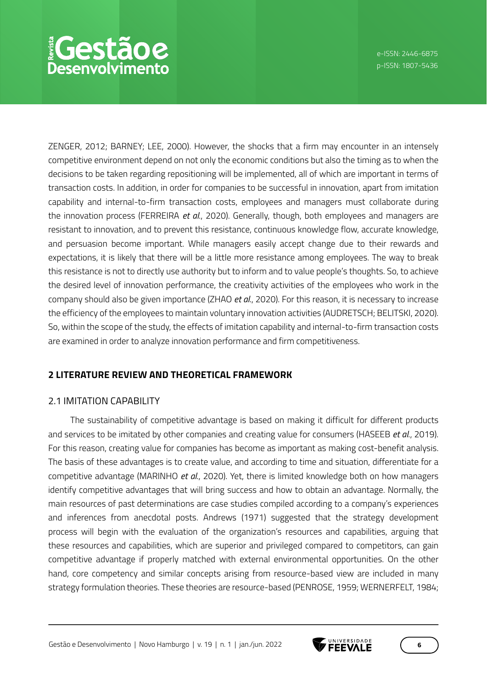ZENGER, 2012; BARNEY; LEE, 2000). However, the shocks that a firm may encounter in an intensely competitive environment depend on not only the economic conditions but also the timing as to when the decisions to be taken regarding repositioning will be implemented, all of which are important in terms of transaction costs. In addition, in order for companies to be successful in innovation, apart from imitation capability and internal-to-firm transaction costs, employees and managers must collaborate during the innovation process (FERREIRA *et al*., 2020). Generally, though, both employees and managers are resistant to innovation, and to prevent this resistance, continuous knowledge flow, accurate knowledge, and persuasion become important. While managers easily accept change due to their rewards and expectations, it is likely that there will be a little more resistance among employees. The way to break this resistance is not to directly use authority but to inform and to value people's thoughts. So, to achieve the desired level of innovation performance, the creativity activities of the employees who work in the company should also be given importance (ZHAO *et al*., 2020). For this reason, it is necessary to increase the efficiency of the employees to maintain voluntary innovation activities (AUDRETSCH; BELITSKI, 2020). So, within the scope of the study, the effects of imitation capability and internal-to-firm transaction costs are examined in order to analyze innovation performance and firm competitiveness.

## **2 LITERATURE REVIEW AND THEORETICAL FRAMEWORK**

## 2.1 IMITATION CAPABILITY

The sustainability of competitive advantage is based on making it difficult for different products and services to be imitated by other companies and creating value for consumers (HASEEB *et al*., 2019). For this reason, creating value for companies has become as important as making cost-benefit analysis. The basis of these advantages is to create value, and according to time and situation, differentiate for a competitive advantage (MARINHO *et al*., 2020). Yet, there is limited knowledge both on how managers identify competitive advantages that will bring success and how to obtain an advantage. Normally, the main resources of past determinations are case studies compiled according to a company's experiences and inferences from anecdotal posts. Andrews (1971) suggested that the strategy development process will begin with the evaluation of the organization's resources and capabilities, arguing that these resources and capabilities, which are superior and privileged compared to competitors, can gain competitive advantage if properly matched with external environmental opportunities. On the other hand, core competency and similar concepts arising from resource-based view are included in many strategy formulation theories. These theories are resource-based (PENROSE, 1959; WERNERFELT, 1984;

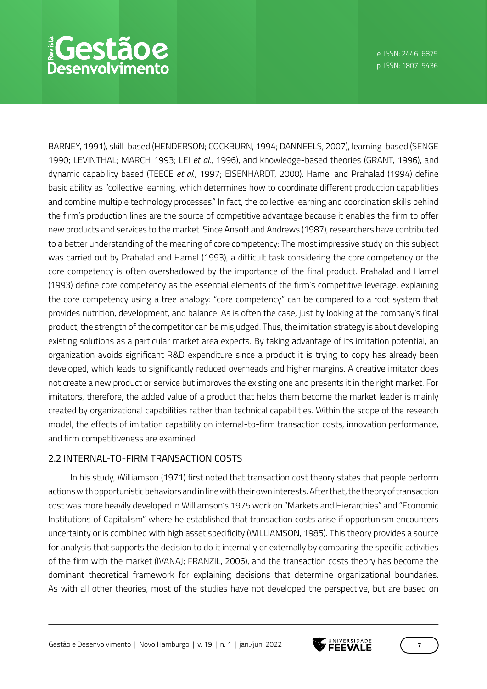BARNEY, 1991), skill-based (HENDERSON; COCKBURN, 1994; DANNEELS, 2007), learning-based (SENGE 1990; LEVINTHAL; MARCH 1993; LEI *et al*., 1996), and knowledge-based theories (GRANT, 1996), and dynamic capability based (TEECE *et al*., 1997; EISENHARDT, 2000). Hamel and Prahalad (1994) define basic ability as "collective learning, which determines how to coordinate different production capabilities and combine multiple technology processes." In fact, the collective learning and coordination skills behind the firm's production lines are the source of competitive advantage because it enables the firm to offer new products and services to the market. Since Ansoff and Andrews (1987), researchers have contributed to a better understanding of the meaning of core competency: The most impressive study on this subject was carried out by Prahalad and Hamel (1993), a difficult task considering the core competency or the core competency is often overshadowed by the importance of the final product. Prahalad and Hamel (1993) define core competency as the essential elements of the firm's competitive leverage, explaining the core competency using a tree analogy: "core competency" can be compared to a root system that provides nutrition, development, and balance. As is often the case, just by looking at the company's final product, the strength of the competitor can be misjudged. Thus, the imitation strategy is about developing existing solutions as a particular market area expects. By taking advantage of its imitation potential, an organization avoids significant R&D expenditure since a product it is trying to copy has already been developed, which leads to significantly reduced overheads and higher margins. A creative imitator does not create a new product or service but improves the existing one and presents it in the right market. For imitators, therefore, the added value of a product that helps them become the market leader is mainly created by organizational capabilities rather than technical capabilities. Within the scope of the research model, the effects of imitation capability on internal-to-firm transaction costs, innovation performance, and firm competitiveness are examined.

## 2.2 INTERNAL-TO-FIRM TRANSACTION COSTS

In his study, Williamson (1971) first noted that transaction cost theory states that people perform actions with opportunistic behaviors and in line with their own interests. After that, the theory of transaction cost was more heavily developed in Williamson's 1975 work on "Markets and Hierarchies" and "Economic Institutions of Capitalism" where he established that transaction costs arise if opportunism encounters uncertainty or is combined with high asset specificity (WILLIAMSON, 1985). This theory provides a source for analysis that supports the decision to do it internally or externally by comparing the specific activities of the firm with the market (IVANAJ; FRANZIL, 2006), and the transaction costs theory has become the dominant theoretical framework for explaining decisions that determine organizational boundaries. As with all other theories, most of the studies have not developed the perspective, but are based on

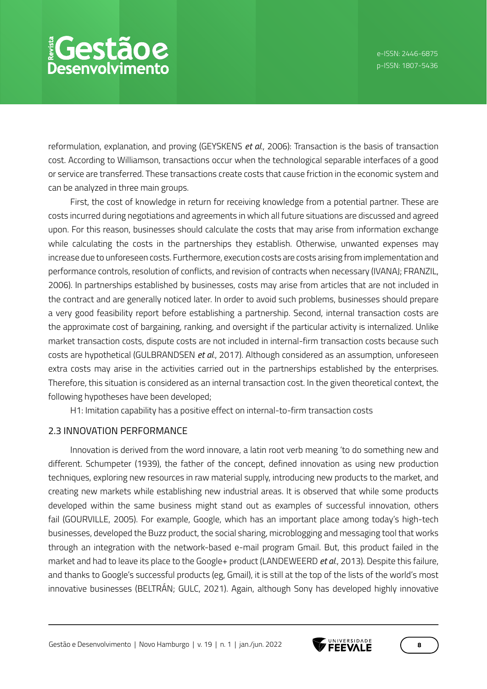reformulation, explanation, and proving (GEYSKENS *et al*., 2006): Transaction is the basis of transaction cost. According to Williamson, transactions occur when the technological separable interfaces of a good or service are transferred. These transactions create costs that cause friction in the economic system and can be analyzed in three main groups.

First, the cost of knowledge in return for receiving knowledge from a potential partner. These are costs incurred during negotiations and agreements in which all future situations are discussed and agreed upon. For this reason, businesses should calculate the costs that may arise from information exchange while calculating the costs in the partnerships they establish. Otherwise, unwanted expenses may increase due to unforeseen costs. Furthermore, execution costs are costs arising from implementation and performance controls, resolution of conflicts, and revision of contracts when necessary (IVANAJ; FRANZIL, 2006). In partnerships established by businesses, costs may arise from articles that are not included in the contract and are generally noticed later. In order to avoid such problems, businesses should prepare a very good feasibility report before establishing a partnership. Second, internal transaction costs are the approximate cost of bargaining, ranking, and oversight if the particular activity is internalized. Unlike market transaction costs, dispute costs are not included in internal-firm transaction costs because such costs are hypothetical (GULBRANDSEN *et al*., 2017). Although considered as an assumption, unforeseen extra costs may arise in the activities carried out in the partnerships established by the enterprises. Therefore, this situation is considered as an internal transaction cost. In the given theoretical context, the following hypotheses have been developed;

H1: Imitation capability has a positive effect on internal-to-firm transaction costs

## 2.3 INNOVATION PERFORMANCE

Innovation is derived from the word innovare, a latin root verb meaning 'to do something new and different. Schumpeter (1939), the father of the concept, defined innovation as using new production techniques, exploring new resources in raw material supply, introducing new products to the market, and creating new markets while establishing new industrial areas. It is observed that while some products developed within the same business might stand out as examples of successful innovation, others fail (GOURVILLE, 2005). For example, Google, which has an important place among today's high-tech businesses, developed the Buzz product, the social sharing, microblogging and messaging tool that works through an integration with the network-based e-mail program Gmail. But, this product failed in the market and had to leave its place to the Google+ product (LANDEWEERD *et al*., 2013). Despite this failure, and thanks to Google's successful products (eg, Gmail), it is still at the top of the lists of the world's most innovative businesses (BELTRÁN; GULC, 2021). Again, although Sony has developed highly innovative

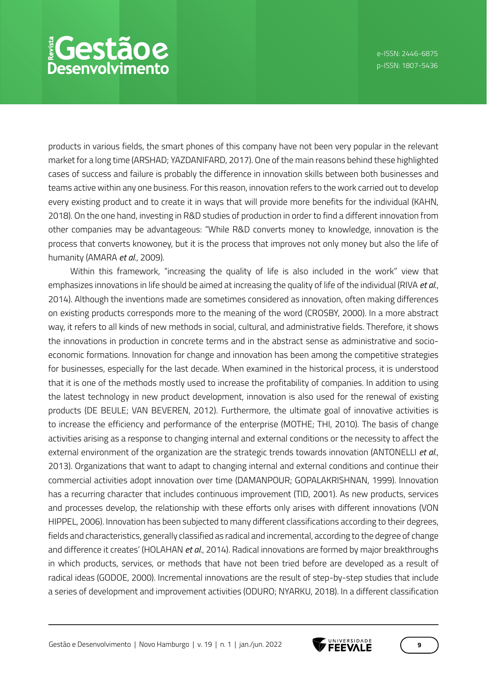## *<u>EGestãoe</u>* **Desenvolvimento**

products in various fields, the smart phones of this company have not been very popular in the relevant market for a long time (ARSHAD; YAZDANIFARD, 2017). One of the main reasons behind these highlighted cases of success and failure is probably the difference in innovation skills between both businesses and teams active within any one business. For this reason, innovation refers to the work carried out to develop every existing product and to create it in ways that will provide more benefits for the individual (KAHN, 2018). On the one hand, investing in R&D studies of production in order to find a different innovation from other companies may be advantageous: "While R&D converts money to knowledge, innovation is the process that converts knowoney, but it is the process that improves not only money but also the life of humanity (AMARA *et al*., 2009).

Within this framework, "increasing the quality of life is also included in the work" view that emphasizes innovations in life should be aimed at increasing the quality of life of the individual (RIVA *et al*., 2014). Although the inventions made are sometimes considered as innovation, often making differences on existing products corresponds more to the meaning of the word (CROSBY, 2000). In a more abstract way, it refers to all kinds of new methods in social, cultural, and administrative fields. Therefore, it shows the innovations in production in concrete terms and in the abstract sense as administrative and socioeconomic formations. Innovation for change and innovation has been among the competitive strategies for businesses, especially for the last decade. When examined in the historical process, it is understood that it is one of the methods mostly used to increase the profitability of companies. In addition to using the latest technology in new product development, innovation is also used for the renewal of existing products (DE BEULE; VAN BEVEREN, 2012). Furthermore, the ultimate goal of innovative activities is to increase the efficiency and performance of the enterprise (MOTHE; THI, 2010). The basis of change activities arising as a response to changing internal and external conditions or the necessity to affect the external environment of the organization are the strategic trends towards innovation (ANTONELLI *et al*., 2013). Organizations that want to adapt to changing internal and external conditions and continue their commercial activities adopt innovation over time (DAMANPOUR; GOPALAKRISHNAN, 1999). Innovation has a recurring character that includes continuous improvement (TID, 2001). As new products, services and processes develop, the relationship with these efforts only arises with different innovations (VON HIPPEL, 2006). Innovation has been subjected to many different classifications according to their degrees, fields and characteristics, generally classified as radical and incremental, according to the degree of change and difference it creates' (HOLAHAN *et al*., 2014). Radical innovations are formed by major breakthroughs in which products, services, or methods that have not been tried before are developed as a result of radical ideas (GODOE, 2000). Incremental innovations are the result of step-by-step studies that include a series of development and improvement activities (ODURO; NYARKU, 2018). In a different classification

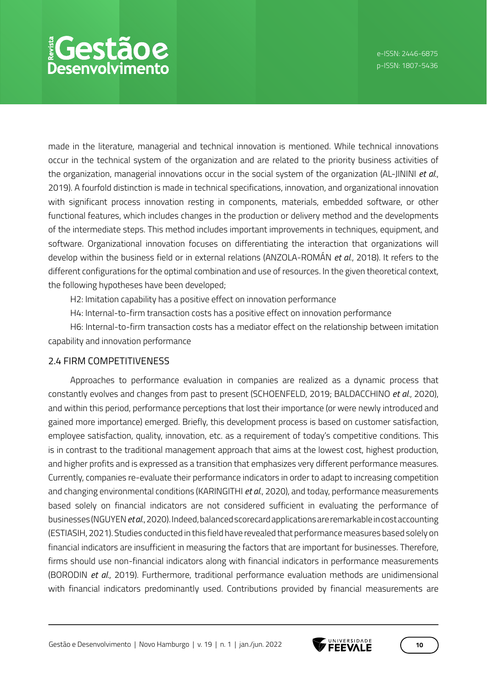# *<u>EGestãoe</u>* **Desenvolvimento**

made in the literature, managerial and technical innovation is mentioned. While technical innovations occur in the technical system of the organization and are related to the priority business activities of the organization, managerial innovations occur in the social system of the organization (AL-JININI *et al*., 2019). A fourfold distinction is made in technical specifications, innovation, and organizational innovation with significant process innovation resting in components, materials, embedded software, or other functional features, which includes changes in the production or delivery method and the developments of the intermediate steps. This method includes important improvements in techniques, equipment, and software. Organizational innovation focuses on differentiating the interaction that organizations will develop within the business field or in external relations (ANZOLA-ROMÁN *et al*., 2018). It refers to the different configurations for the optimal combination and use of resources. In the given theoretical context, the following hypotheses have been developed;

H2: Imitation capability has a positive effect on innovation performance

H4: Internal-to-firm transaction costs has a positive effect on innovation performance

H6: Internal-to-firm transaction costs has a mediator effect on the relationship between imitation capability and innovation performance

## 2.4 FIRM COMPETITIVENESS

Approaches to performance evaluation in companies are realized as a dynamic process that constantly evolves and changes from past to present (SCHOENFELD, 2019; BALDACCHINO *et al*., 2020), and within this period, performance perceptions that lost their importance (or were newly introduced and gained more importance) emerged. Briefly, this development process is based on customer satisfaction, employee satisfaction, quality, innovation, etc. as a requirement of today's competitive conditions. This is in contrast to the traditional management approach that aims at the lowest cost, highest production, and higher profits and is expressed as a transition that emphasizes very different performance measures. Currently, companies re-evaluate their performance indicators in order to adapt to increasing competition and changing environmental conditions (KARINGITHI *et al*., 2020), and today, performance measurements based solely on financial indicators are not considered sufficient in evaluating the performance of businesses (NGUYEN *et al*., 2020). Indeed, balanced scorecard applications are remarkable in cost accounting (ESTIASIH, 2021). Studies conducted in this field have revealed that performance measures based solely on financial indicators are insufficient in measuring the factors that are important for businesses. Therefore, firms should use non-financial indicators along with financial indicators in performance measurements (BORODIN *et al*., 2019). Furthermore, traditional performance evaluation methods are unidimensional with financial indicators predominantly used. Contributions provided by financial measurements are

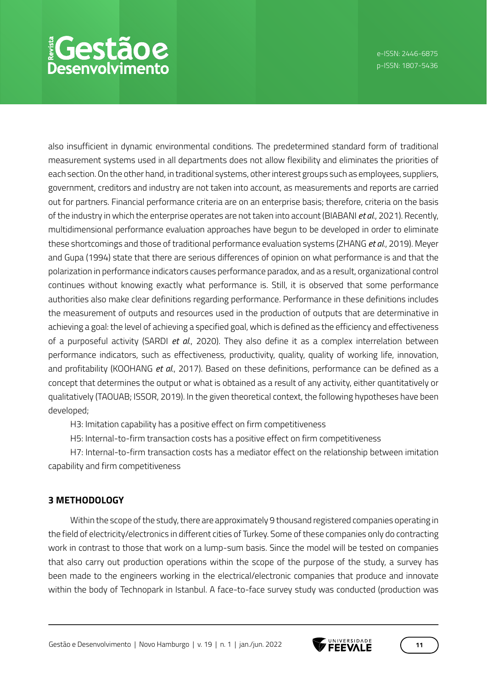also insufficient in dynamic environmental conditions. The predetermined standard form of traditional measurement systems used in all departments does not allow flexibility and eliminates the priorities of each section. On the other hand, in traditional systems, other interest groups such as employees, suppliers, government, creditors and industry are not taken into account, as measurements and reports are carried out for partners. Financial performance criteria are on an enterprise basis; therefore, criteria on the basis of the industry in which the enterprise operates are not taken into account (BIABANI *et al*., 2021). Recently, multidimensional performance evaluation approaches have begun to be developed in order to eliminate these shortcomings and those of traditional performance evaluation systems (ZHANG *et al*., 2019). Meyer and Gupa (1994) state that there are serious differences of opinion on what performance is and that the polarization in performance indicators causes performance paradox, and as a result, organizational control continues without knowing exactly what performance is. Still, it is observed that some performance authorities also make clear definitions regarding performance. Performance in these definitions includes the measurement of outputs and resources used in the production of outputs that are determinative in achieving a goal: the level of achieving a specified goal, which is defined as the efficiency and effectiveness of a purposeful activity (SARDI *et al*., 2020). They also define it as a complex interrelation between performance indicators, such as effectiveness, productivity, quality, quality of working life, innovation, and profitability (KOOHANG *et al*., 2017). Based on these definitions, performance can be defined as a concept that determines the output or what is obtained as a result of any activity, either quantitatively or qualitatively (TAOUAB; ISSOR, 2019). In the given theoretical context, the following hypotheses have been developed;

H3: Imitation capability has a positive effect on firm competitiveness

H5: Internal-to-firm transaction costs has a positive effect on firm competitiveness

H7: Internal-to-firm transaction costs has a mediator effect on the relationship between imitation capability and firm competitiveness

## **3 METHODOLOGY**

Within the scope of the study, there are approximately 9 thousand registered companies operating in the field of electricity/electronics in different cities of Turkey. Some of these companies only do contracting work in contrast to those that work on a lump-sum basis. Since the model will be tested on companies that also carry out production operations within the scope of the purpose of the study, a survey has been made to the engineers working in the electrical/electronic companies that produce and innovate within the body of Technopark in Istanbul. A face-to-face survey study was conducted (production was

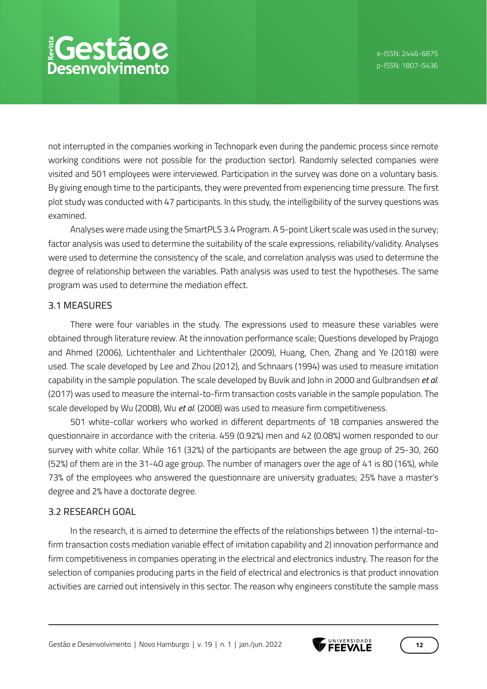not interrupted in the companies working in Technopark even during the pandemic process since remote working conditions were not possible for the production sector). Randomly selected companies were visited and 501 employees were interviewed. Participation in the survey was done on a voluntary basis. By giving enough time to the participants, they were prevented from experiencing time pressure. The first plot study was conducted with 47 participants. In this study, the intelligibility of the survey questions was examined.

Analyses were made using the SmartPLS 3.4 Program. A 5-point Likert scale was used in the survey; factor analysis was used to determine the suitability of the scale expressions, reliability/validity. Analyses were used to determine the consistency of the scale, and correlation analysis was used to determine the degree of relationship between the variables. Path analysis was used to test the hypotheses. The same program was used to determine the mediation effect.

#### 3.1 MEASURES

There were four variables in the study. The expressions used to measure these variables were obtained through literature review. At the innovation performance scale; Questions developed by Prajogo and Ahmed (2006), Lichtenthaler and Lichtenthaler (2009), Huang, Chen, Zhang and Ye (2018) were used. The scale developed by Lee and Zhou (2012), and Schnaars (1994) was used to measure imitation capability in the sample population. The scale developed by Buvik and John in 2000 and Gulbrandsen *et al*. (2017) was used to measure the internal-to-firm transaction costs variable in the sample population. The scale developed by Wu (2008), Wu *et al*. (2008) was used to measure firm competitiveness.

501 white-collar workers who worked in different departments of 18 companies answered the questionnaire in accordance with the criteria. 459 (0.92%) men and 42 (0.08%) women responded to our survey with white collar. While 161 (32%) of the participants are between the age group of 25-30, 260 (52%) of them are in the 31-40 age group. The number of managers over the age of 41 is 80 (16%), while 73% of the employees who answered the questionnaire are university graduates; 25% have a master's degree and 2% have a doctorate degree.

## 3.2 RESEARCH GOAL

In the research, it is aimed to determine the effects of the relationships between 1) the internal-tofirm transaction costs mediation variable effect of imitation capability and 2) innovation performance and firm competitiveness in companies operating in the electrical and electronics industry. The reason for the selection of companies producing parts in the field of electrical and electronics is that product innovation activities are carried out intensively in this sector. The reason why engineers constitute the sample mass

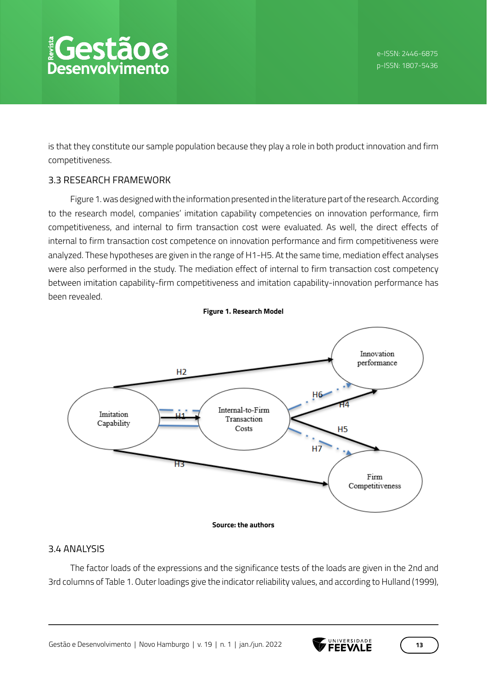is that they constitute our sample population because they play a role in both product innovation and firm competitiveness.

## 3.3 RESEARCH FRAMEWORK

Figure 1. was designed with the information presented in the literature part of the research. According to the research model, companies' imitation capability competencies on innovation performance, firm competitiveness, and internal to firm transaction cost were evaluated. As well, the direct effects of internal to firm transaction cost competence on innovation performance and firm competitiveness were analyzed. These hypotheses are given in the range of H1-H5. At the same time, mediation effect analyses were also performed in the study. The mediation effect of internal to firm transaction cost competency between imitation capability-firm competitiveness and imitation capability-innovation performance has been revealed.



## 3.4 ANALYSIS

The factor loads of the expressions and the significance tests of the loads are given in the 2nd and 3rd columns of Table 1. Outer loadings give the indicator reliability values, and according to Hulland (1999),

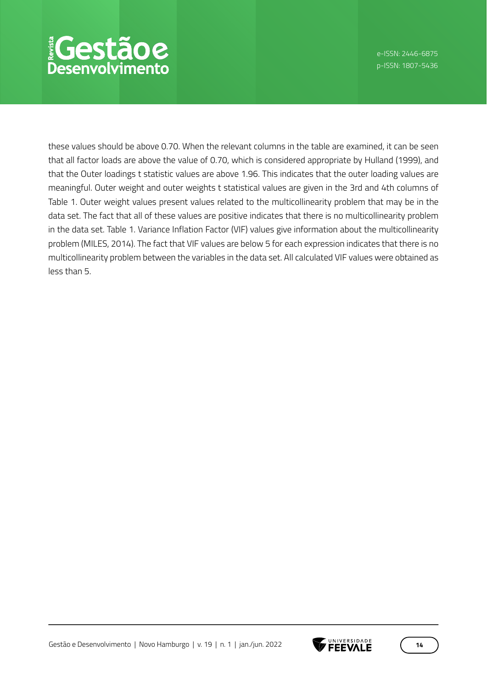these values should be above 0.70. When the relevant columns in the table are examined, it can be seen that all factor loads are above the value of 0.70, which is considered appropriate by Hulland (1999), and that the Outer loadings t statistic values are above 1.96. This indicates that the outer loading values are meaningful. Outer weight and outer weights t statistical values are given in the 3rd and 4th columns of Table 1. Outer weight values present values related to the multicollinearity problem that may be in the data set. The fact that all of these values are positive indicates that there is no multicollinearity problem in the data set. Table 1. Variance Inflation Factor (VIF) values give information about the multicollinearity problem (MILES, 2014). The fact that VIF values are below 5 for each expression indicates that there is no multicollinearity problem between the variables in the data set. All calculated VIF values were obtained as less than 5.

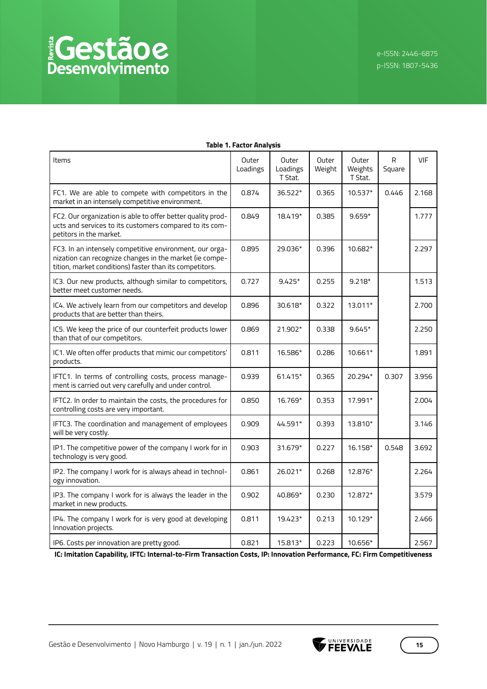| Items                                                                                                                                                                         | Outer<br>Loadings | Outer<br>Loadings<br>T Stat. | Outer<br>Weight | Outer<br>Weights<br>T Stat. | $\mathsf{R}$<br>Square | <b>VIF</b> |
|-------------------------------------------------------------------------------------------------------------------------------------------------------------------------------|-------------------|------------------------------|-----------------|-----------------------------|------------------------|------------|
| FC1. We are able to compete with competitors in the<br>market in an intensely competitive environment.                                                                        | 0.874             | 36.522*                      | 0.365           | $10.537*$                   | 0.446                  | 2.168      |
| FC2. Our organization is able to offer better quality prod-<br>ucts and services to its customers compared to its com-<br>petitors in the market.                             | 0.849             | 18.419*                      | 0.385           | $9.659*$                    |                        | 1.777      |
| FC3. In an intensely competitive environment, our orga-<br>nization can recognize changes in the market (ie compe-<br>tition, market conditions) faster than its competitors. | 0.895             | 29.036*                      | 0.396           | 10.682*                     |                        | 2.297      |
| IC3. Our new products, although similar to competitors,<br>better meet customer needs.                                                                                        | 0.727             | $9.425*$                     | 0.255           | $9.218*$                    |                        | 1.513      |
| IC4. We actively learn from our competitors and develop<br>products that are better than theirs.                                                                              | 0.896             | 30.618*                      | 0.322           | 13.011*                     |                        | 2.700      |
| IC5. We keep the price of our counterfeit products lower<br>than that of our competitors.                                                                                     | 0.869             | 21.902*                      | 0.338           | $9.645*$                    |                        | 2.250      |
| IC1. We often offer products that mimic our competitors'<br>products.                                                                                                         | 0.811             | 16.586*                      | 0.286           | 10.661*                     |                        | 1.891      |
| IFTC1. In terms of controlling costs, process manage-<br>ment is carried out very carefully and under control.                                                                | 0.939             | 61.415*                      | 0.365           | 20.294*                     | 0.307                  | 3.956      |
| IFTC2. In order to maintain the costs, the procedures for<br>controlling costs are very important.                                                                            | 0.850             | 16.769*                      | 0.353           | 17.991*                     |                        | 2.004      |
| IFTC3. The coordination and management of employees<br>will be very costly.                                                                                                   | 0.909             | 44.591*                      | 0.393           | 13.810*                     |                        | 3.146      |
| IP1. The competitive power of the company I work for in<br>technology is very good.                                                                                           | 0.903             | 31.679*                      | 0.227           | 16.158*                     | 0.548                  | 3.692      |
| IP2. The company I work for is always ahead in technol-<br>ogy innovation.                                                                                                    | 0.861             | 26.021*                      | 0.268           | 12.876*                     |                        | 2.264      |
| IP3. The company I work for is always the leader in the<br>market in new products.                                                                                            | 0.902             | 40.869*                      | 0.230           | 12.872*                     |                        | 3.579      |
| IP4. The company I work for is very good at developing<br>Innovation projects.                                                                                                | 0.811             | 19.423*                      | 0.213           | 10.129*                     |                        | 2.466      |
| IP6. Costs per innovation are pretty good.                                                                                                                                    | 0.821             | 15.813*                      | 0.223           | 10.656*                     |                        | 2.567      |

#### **Table 1. Factor Analysis**

**IC: Imitation Capability, IFTC: Internal-to-Firm Transaction Costs, IP: Innovation Performance, FC: Firm Competitiveness**

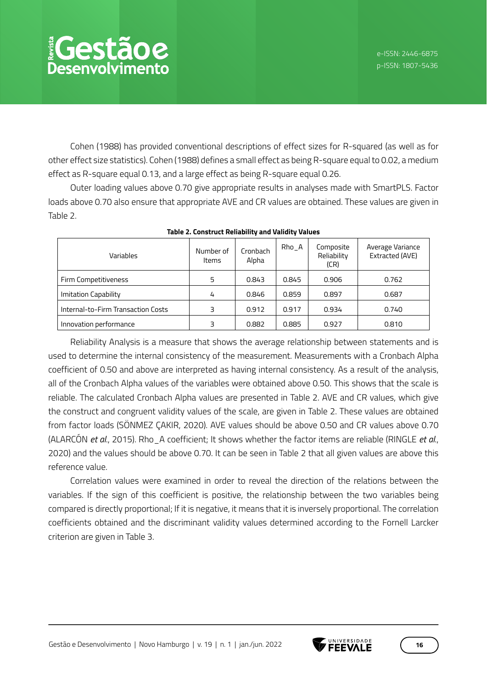Cohen (1988) has provided conventional descriptions of effect sizes for R-squared (as well as for other effect size statistics). Cohen (1988) defines a small effect as being R-square equal to 0.02, a medium effect as R-square equal 0.13, and a large effect as being R-square equal 0.26.

Outer loading values above 0.70 give appropriate results in analyses made with SmartPLS. Factor loads above 0.70 also ensure that appropriate AVE and CR values are obtained. These values are given in Table 2.

| Variables                          | Number of<br><b>Items</b> | Cronbach<br>Alpha | $Rho_A$ | Composite<br>Reliability<br>(CR) | Average Variance<br>Extracted (AVE) |
|------------------------------------|---------------------------|-------------------|---------|----------------------------------|-------------------------------------|
| Firm Competitiveness               | 5                         | 0.843             | 0.845   | 0.906                            | 0.762                               |
| Imitation Capability               | 4                         | 0.846             | 0.859   | 0.897                            | 0.687                               |
| Internal-to-Firm Transaction Costs | 3                         | 0.912             | 0.917   | 0.934                            | 0.740                               |
| Innovation performance             | 3                         | 0.882             | 0.885   | 0.927                            | 0.810                               |

**Table 2. Construct Reliability and Validity Values**

Reliability Analysis is a measure that shows the average relationship between statements and is used to determine the internal consistency of the measurement. Measurements with a Cronbach Alpha coefficient of 0.50 and above are interpreted as having internal consistency. As a result of the analysis, all of the Cronbach Alpha values of the variables were obtained above 0.50. This shows that the scale is reliable. The calculated Cronbach Alpha values are presented in Table 2. AVE and CR values, which give the construct and congruent validity values of the scale, are given in Table 2. These values are obtained from factor loads (SÖNMEZ ÇAKIR, 2020). AVE values should be above 0.50 and CR values above 0.70 (ALARCÓN *et al*., 2015). Rho\_A coefficient; It shows whether the factor items are reliable (RINGLE *et al*., 2020) and the values should be above 0.70. It can be seen in Table 2 that all given values are above this reference value.

Correlation values were examined in order to reveal the direction of the relations between the variables. If the sign of this coefficient is positive, the relationship between the two variables being compared is directly proportional; If it is negative, it means that it is inversely proportional. The correlation coefficients obtained and the discriminant validity values determined according to the Fornell Larcker criterion are given in Table 3.

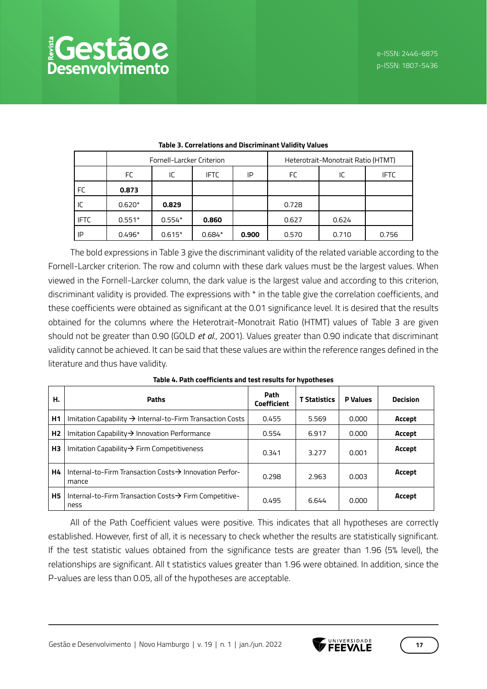| $\frac{1}{2}$ | SSLETOR. |                        |
|---------------|----------|------------------------|
|               |          | <b>Desenvolvimento</b> |

|             | Fornell-Larcker Criterion |          |             |       | Heterotrait-Monotrait Ratio (HTMT) |       |             |
|-------------|---------------------------|----------|-------------|-------|------------------------------------|-------|-------------|
|             | FC                        | IC       | <b>IFTC</b> | IP    | FC<br>IC                           |       | <b>IFTC</b> |
| FC          | 0.873                     |          |             |       |                                    |       |             |
| IC          | $0.620*$                  | 0.829    |             |       | 0.728                              |       |             |
| <b>IFTC</b> | $0.551*$                  | $0.554*$ | 0.860       |       | 0.627                              | 0.624 |             |
| IP          | $0.496*$                  | $0.615*$ | $0.684*$    | 0.900 | 0.570                              | 0.710 | 0.756       |

#### **Table 3. Correlations and Discriminant Validity Values**

The bold expressions in Table 3 give the discriminant validity of the related variable according to the Fornell-Larcker criterion. The row and column with these dark values must be the largest values. When viewed in the Fornell-Larcker column, the dark value is the largest value and according to this criterion, discriminant validity is provided. The expressions with \* in the table give the correlation coefficients, and these coefficients were obtained as significant at the 0.01 significance level. It is desired that the results obtained for the columns where the Heterotrait-Monotrait Ratio (HTMT) values of Table 3 are given should not be greater than 0.90 (GOLD *et al*., 2001). Values greater than 0.90 indicate that discriminant validity cannot be achieved. It can be said that these values are within the reference ranges defined in the literature and thus have validity.

| н.             | <b>Paths</b>                                                                 | Path<br><b>Coefficient</b> | <b>T</b> Statistics | <b>P</b> Values | <b>Decision</b> |
|----------------|------------------------------------------------------------------------------|----------------------------|---------------------|-----------------|-----------------|
| H1             | Imitation Capability $\rightarrow$ Internal-to-Firm Transaction Costs        | 0.455                      | 5.569               | 0.000           | Accept          |
| H <sub>2</sub> | Imitation Capability $\rightarrow$ Innovation Performance                    | 0.554                      | 6.917               | 0.000           | Accept          |
| H3             | Imitation Capability $\rightarrow$ Firm Competitiveness                      | 0.341                      | 3.277               | 0.001           | Accept          |
| Η4             | Internal-to-Firm Transaction Costs $\rightarrow$ Innovation Perfor-<br>mance | 0.298                      | 2.963               | 0.003           | Accept          |
| <b>H5</b>      | Internal-to-Firm Transaction Costs $\rightarrow$ Firm Competitive-<br>ness   | 0.495                      | 6.644               | 0.000           | Accept          |

#### **Table 4. Path coefficients and test results for hypotheses**

All of the Path Coefficient values were positive. This indicates that all hypotheses are correctly established. However, first of all, it is necessary to check whether the results are statistically significant. If the test statistic values obtained from the significance tests are greater than 1.96 (5% level), the relationships are significant. All t statistics values greater than 1.96 were obtained. In addition, since the P-values are less than 0.05, all of the hypotheses are acceptable.

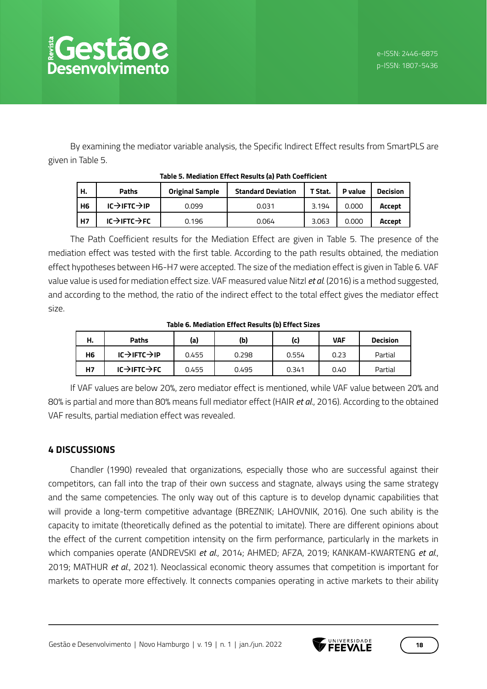By examining the mediator variable analysis, the Specific Indirect Effect results from SmartPLS are given in Table 5.

| н.             | <b>Paths</b>                         | <b>Original Sample</b> | <b>Standard Deviation</b> | T Stat. | P value | <b>Decision</b> |  |  |  |  |
|----------------|--------------------------------------|------------------------|---------------------------|---------|---------|-----------------|--|--|--|--|
| H <sub>6</sub> | $IC \rightarrow IFTC \rightarrow IP$ | 0.099                  | 0.031                     | 3.194   | 0.000   | Accept          |  |  |  |  |
| H7             | $IC \rightarrow IFTC \rightarrow FC$ | 0.196                  | 0.064                     | 3.063   | 0.000   | Accept          |  |  |  |  |

#### **Table 5. Mediation Effect Results (a) Path Coefficient**

The Path Coefficient results for the Mediation Effect are given in Table 5. The presence of the mediation effect was tested with the first table. According to the path results obtained, the mediation effect hypotheses between H6-H7 were accepted. The size of the mediation effect is given in Table 6. VAF value value is used for mediation effect size. VAF measured value Nitzl *et al*. (2016) is a method suggested, and according to the method, the ratio of the indirect effect to the total effect gives the mediator effect size.

#### **Table 6. Mediation Effect Results (b) Effect Sizes**

| н.        | Paths                                | (a)   | (Ы)   | (c)   | <b>VAF</b> | <b>Decision</b> |
|-----------|--------------------------------------|-------|-------|-------|------------|-----------------|
| <b>H6</b> | $IC \rightarrow IFTC \rightarrow IP$ | 0.455 | 0.298 | 0.554 | 0.23       | Partial         |
| <b>H7</b> | $IC \rightarrow IFTC \rightarrow FC$ | 0.455 | 0.495 | 0.341 | 0.40       | Partial         |

If VAF values are below 20%, zero mediator effect is mentioned, while VAF value between 20% and 80% is partial and more than 80% means full mediator effect (HAIR *et al*., 2016). According to the obtained VAF results, partial mediation effect was revealed.

## **4 DISCUSSIONS**

Chandler (1990) revealed that organizations, especially those who are successful against their competitors, can fall into the trap of their own success and stagnate, always using the same strategy and the same competencies. The only way out of this capture is to develop dynamic capabilities that will provide a long-term competitive advantage (BREZNIK; LAHOVNIK, 2016). One such ability is the capacity to imitate (theoretically defined as the potential to imitate). There are different opinions about the effect of the current competition intensity on the firm performance, particularly in the markets in which companies operate (ANDREVSKI *et al*., 2014; AHMED; AFZA, 2019; KANKAM-KWARTENG *et al*., 2019; MATHUR *et al*., 2021). Neoclassical economic theory assumes that competition is important for markets to operate more effectively. It connects companies operating in active markets to their ability

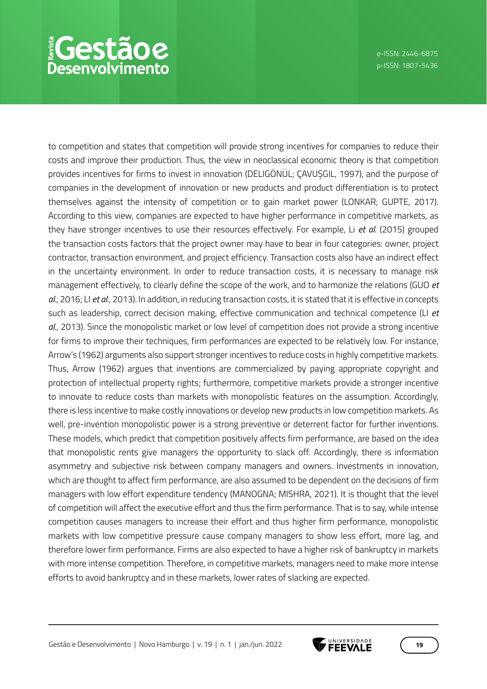## *<u>EGestãoe</u>* Desenvolvimento

to competition and states that competition will provide strong incentives for companies to reduce their costs and improve their production. Thus, the view in neoclassical economic theory is that competition provides incentives for firms to invest in innovation (DELIGÖNÜL; ÇAVUŞGIL, 1997), and the purpose of companies in the development of innovation or new products and product differentiation is to protect themselves against the intensity of competition or to gain market power (LONKAR; GUPTE, 2017). According to this view, companies are expected to have higher performance in competitive markets, as they have stronger incentives to use their resources effectively. For example, Li *et al*. (2015) grouped the transaction costs factors that the project owner may have to bear in four categories: owner, project contractor, transaction environment, and project efficiency. Transaction costs also have an indirect effect in the uncertainty environment. In order to reduce transaction costs, it is necessary to manage risk management effectively, to clearly define the scope of the work, and to harmonize the relations (GUO *et al*., 2016; LI *et al*., 2013). In addition, in reducing transaction costs, it is stated that it is effective in concepts such as leadership, correct decision making, effective communication and technical competence (LI *et al*., 2013). Since the monopolistic market or low level of competition does not provide a strong incentive for firms to improve their techniques, firm performances are expected to be relatively low. For instance, Arrow's (1962) arguments also support stronger incentives to reduce costs in highly competitive markets. Thus, Arrow (1962) argues that inventions are commercialized by paying appropriate copyright and protection of intellectual property rights; furthermore, competitive markets provide a stronger incentive to innovate to reduce costs than markets with monopolistic features on the assumption. Accordingly, there is less incentive to make costly innovations or develop new products in low competition markets. As well, pre-invention monopolistic power is a strong preventive or deterrent factor for further inventions. These models, which predict that competition positively affects firm performance, are based on the idea that monopolistic rents give managers the opportunity to slack off. Accordingly, there is information asymmetry and subjective risk between company managers and owners. Investments in innovation, which are thought to affect firm performance, are also assumed to be dependent on the decisions of firm managers with low effort expenditure tendency (MANOGNA; MISHRA, 2021). It is thought that the level of competition will affect the executive effort and thus the firm performance. That is to say, while intense competition causes managers to increase their effort and thus higher firm performance, monopolistic markets with low competitive pressure cause company managers to show less effort, more lag, and therefore lower firm performance. Firms are also expected to have a higher risk of bankruptcy in markets with more intense competition. Therefore, in competitive markets, managers need to make more intense efforts to avoid bankruptcy and in these markets, lower rates of slacking are expected.

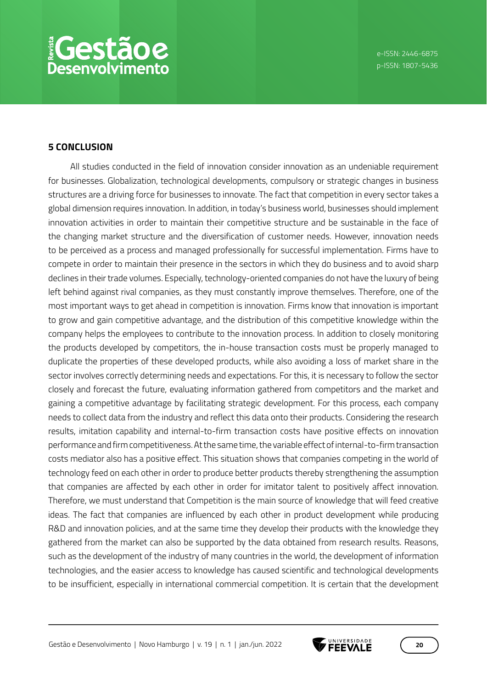#### **5 CONCLUSION**

All studies conducted in the field of innovation consider innovation as an undeniable requirement for businesses. Globalization, technological developments, compulsory or strategic changes in business structures are a driving force for businesses to innovate. The fact that competition in every sector takes a global dimension requires innovation. In addition, in today's business world, businesses should implement innovation activities in order to maintain their competitive structure and be sustainable in the face of the changing market structure and the diversification of customer needs. However, innovation needs to be perceived as a process and managed professionally for successful implementation. Firms have to compete in order to maintain their presence in the sectors in which they do business and to avoid sharp declines in their trade volumes. Especially, technology-oriented companies do not have the luxury of being left behind against rival companies, as they must constantly improve themselves. Therefore, one of the most important ways to get ahead in competition is innovation. Firms know that innovation is important to grow and gain competitive advantage, and the distribution of this competitive knowledge within the company helps the employees to contribute to the innovation process. In addition to closely monitoring the products developed by competitors, the in-house transaction costs must be properly managed to duplicate the properties of these developed products, while also avoiding a loss of market share in the sector involves correctly determining needs and expectations. For this, it is necessary to follow the sector closely and forecast the future, evaluating information gathered from competitors and the market and gaining a competitive advantage by facilitating strategic development. For this process, each company needs to collect data from the industry and reflect this data onto their products. Considering the research results, imitation capability and internal-to-firm transaction costs have positive effects on innovation performance and firm competitiveness. At the same time, the variable effect of internal-to-firm transaction costs mediator also has a positive effect. This situation shows that companies competing in the world of technology feed on each other in order to produce better products thereby strengthening the assumption that companies are affected by each other in order for imitator talent to positively affect innovation. Therefore, we must understand that Competition is the main source of knowledge that will feed creative ideas. The fact that companies are influenced by each other in product development while producing R&D and innovation policies, and at the same time they develop their products with the knowledge they gathered from the market can also be supported by the data obtained from research results. Reasons, such as the development of the industry of many countries in the world, the development of information technologies, and the easier access to knowledge has caused scientific and technological developments to be insufficient, especially in international commercial competition. It is certain that the development

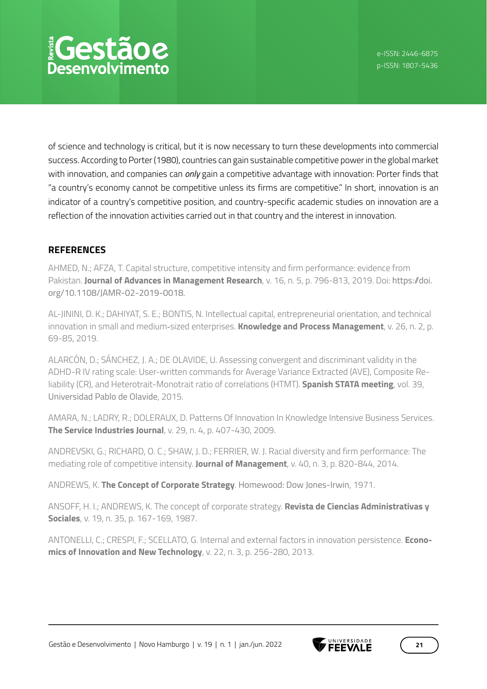# *<u> ¡Gestãoe</u>* esenvolvimento

of science and technology is critical, but it is now necessary to turn these developments into commercial success. According to Porter (1980), countries can gain sustainable competitive power in the global market with innovation, and companies can *only* gain a competitive advantage with innovation: Porter finds that "a country's economy cannot be competitive unless its firms are competitive." In short, innovation is an indicator of a country's competitive position, and country-specific academic studies on innovation are a reflection of the innovation activities carried out in that country and the interest in innovation.

## **REFERENCES**

AHMED, N.; AFZA, T. Capital structure, competitive intensity and firm performance: evidence from Pakistan. **Journal of Advances in Management Research**, v. 16, n. 5, p. 796-813, 2019. Doi: https://doi. org/10.1108/JAMR-02-2019-0018.

AL-JININI, D. K.; DAHIYAT, S. E.; BONTIS, N. Intellectual capital, entrepreneurial orientation, and technical innovation in small and medium‐sized enterprises. **Knowledge and Process Management**, v. 26, n. 2, p. 69-85, 2019.

ALARCÓN, D.; SÁNCHEZ, J. A.; DE OLAVIDE, U. Assessing convergent and discriminant validity in the ADHD-R IV rating scale: User-written commands for Average Variance Extracted (AVE), Composite Reliability (CR), and Heterotrait-Monotrait ratio of correlations (HTMT). **Spanish STATA meeting**, vol. 39, Universidad Pablo de Olavide, 2015.

AMARA, N.; LADRY, R.; DOLERAUX, D. Patterns Of Innovation In Knowledge Intensive Business Services. **The Service Industries Journal**, v. 29, n. 4, p. 407-430, 2009.

ANDREVSKI, G.; RICHARD, O. C.; SHAW, J. D.; FERRIER, W. J. Racial diversity and firm performance: The mediating role of competitive intensity. **Journal of Management**, v. 40, n. 3, p. 820-844, 2014.

ANDREWS, K. **The Concept of Corporate Strategy**. Homewood: Dow Jones-Irwin, 1971.

ANSOFF, H. I.; ANDREWS, K. The concept of corporate strategy. **Revista de Ciencias Administrativas y Sociales**, v. 19, n. 35, p. 167-169, 1987.

ANTONELLI, C.; CRESPI, F.; SCELLATO, G. Internal and external factors in innovation persistence. **Economics of Innovation and New Technology**, v. 22, n. 3, p. 256-280, 2013.

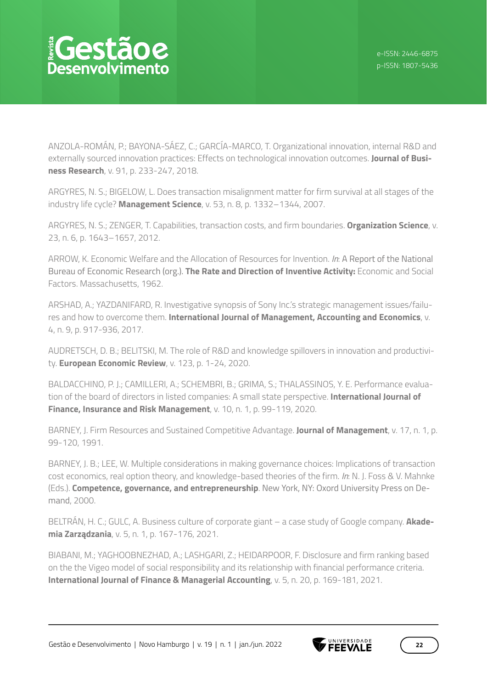ANZOLA-ROMÁN, P.; BAYONA-SÁEZ, C.; GARCÍA-MARCO, T. Organizational innovation, internal R&D and externally sourced innovation practices: Effects on technological innovation outcomes. **Journal of Business Research**, v. 91, p. 233-247, 2018.

ARGYRES, N. S.; BIGELOW, L. Does transaction misalignment matter for firm survival at all stages of the industry life cycle? **Management Science**, v. 53, n. 8, p. 1332–1344, 2007.

ARGYRES, N. S.; ZENGER, T. Capabilities, transaction costs, and firm boundaries. **Organization Science**, v. 23, n. 6, p. 1643–1657, 2012.

ARROW, K. Economic Welfare and the Allocation of Resources for Invention. *In*: A Report of the National Bureau of Economic Research (org.). **The Rate and Direction of Inventive Activity:** Economic and Social Factors. Massachusetts, 1962.

ARSHAD, A.; YAZDANIFARD, R. Investigative synopsis of Sony Inc.'s strategic management issues/failures and how to overcome them. **International Journal of Management, Accounting and Economics**, v. 4, n. 9, p. 917-936, 2017.

AUDRETSCH, D. B.; BELITSKI, M. The role of R&D and knowledge spillovers in innovation and productivity. **European Economic Review**, v. 123, p. 1-24, 2020.

BALDACCHINO, P. J.; CAMILLERI, A.; SCHEMBRI, B.; GRIMA, S.; THALASSINOS, Y. E. Performance evaluation of the board of directors in listed companies: A small state perspective. **International Journal of Finance, Insurance and Risk Management**, v. 10, n. 1, p. 99-119, 2020.

BARNEY, J. Firm Resources and Sustained Competitive Advantage. **Journal of Management**, v. 17, n. 1, p. 99-120, 1991.

BARNEY, J. B.; LEE, W. Multiple considerations in making governance choices: Implications of transaction cost economics, real option theory, and knowledge-based theories of the firm. *In*: N. J. Foss & V. Mahnke (Eds.). **Competence, governance, and entrepreneurship**. New York, NY: Oxord University Press on Demand, 2000.

BELTRÁN, H. C.; GULC, A. Business culture of corporate giant – a case study of Google company. **Akademia Zarządzania**, v. 5, n. 1, p. 167-176, 2021.

BIABANI, M.; YAGHOOBNEZHAD, A.; LASHGARI, Z.; HEIDARPOOR, F. Disclosure and firm ranking based on the the Vigeo model of social responsibility and its relationship with financial performance criteria. **International Journal of Finance & Managerial Accounting**, v. 5, n. 20, p. 169-181, 2021.

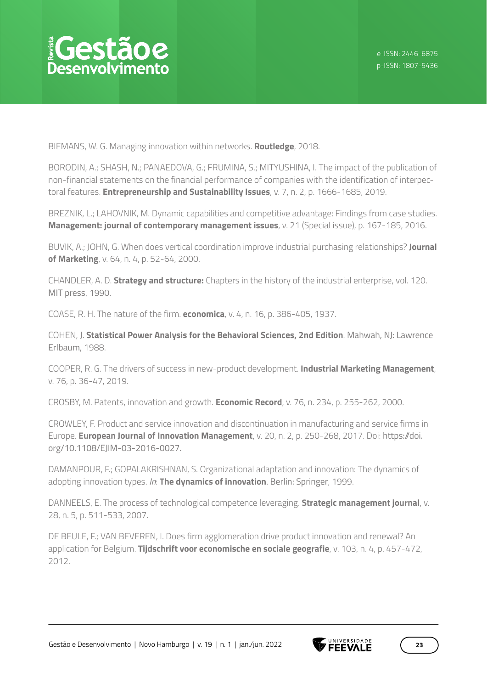BIEMANS, W. G. Managing innovation within networks. **Routledge**, 2018.

BORODIN, A.; SHASH, N.; PANAEDOVA, G.; FRUMINA, S.; MITYUSHINA, I. The impact of the publication of non-financial statements on the financial performance of companies with the identification of interpectoral features. **Entrepreneurship and Sustainability Issues**, v. 7, n. 2, p. 1666-1685, 2019.

BREZNIK, L.; LAHOVNIK, M. Dynamic capabilities and competitive advantage: Findings from case studies. **Management: journal of contemporary management issues**, v. 21 (Special issue), p. 167-185, 2016.

BUVIK, A.; JOHN, G. When does vertical coordination improve industrial purchasing relationships? **Journal of Marketing**, v. 64, n. 4, p. 52-64, 2000.

CHANDLER, A. D. **Strategy and structure:** Chapters in the history of the industrial enterprise, vol. 120. MIT press, 1990.

COASE, R. H. The nature of the firm. **economica**, v. 4, n. 16, p. 386-405, 1937.

COHEN, J. **Statistical Power Analysis for the Behavioral Sciences, 2nd Edition**. Mahwah, NJ: Lawrence Erlbaum, 1988.

COOPER, R. G. The drivers of success in new-product development. **Industrial Marketing Management**, v. 76, p. 36-47, 2019.

CROSBY, M. Patents, innovation and growth. **Economic Record**, v. 76, n. 234, p. 255-262, 2000.

CROWLEY, F. Product and service innovation and discontinuation in manufacturing and service firms in Europe. **European Journal of Innovation Management**, v. 20, n. 2, p. 250-268, 2017. Doi: https://doi. org/10.1108/EJIM-03-2016-0027.

DAMANPOUR, F.; GOPALAKRISHNAN, S. Organizational adaptation and innovation: The dynamics of adopting innovation types. *In*: **The dynamics of innovation**. Berlin: Springer, 1999.

DANNEELS, E. The process of technological competence leveraging. **Strategic management journal**, v. 28, n. 5, p. 511-533, 2007.

DE BEULE, F.; VAN BEVEREN, I. Does firm agglomeration drive product innovation and renewal? An application for Belgium. **Tijdschrift voor economische en sociale geografie**, v. 103, n. 4, p. 457-472, 2012.

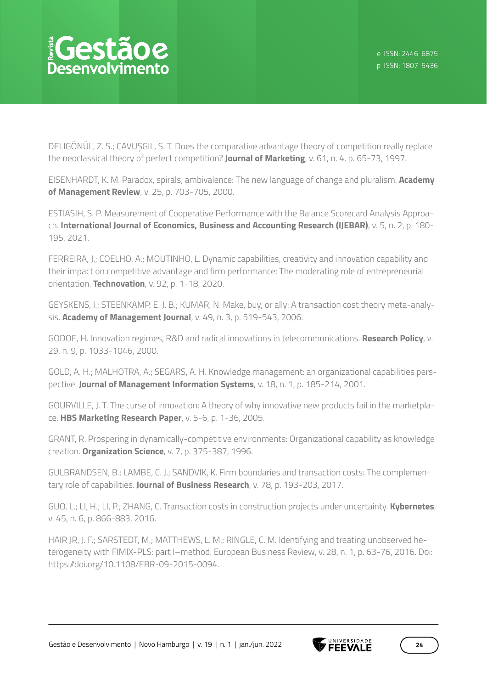DELIGÖNÜL, Z. S.; ÇAVUŞGIL, S. T. Does the comparative advantage theory of competition really replace the neoclassical theory of perfect competition? **Journal of Marketing**, v. 61, n. 4, p. 65-73, 1997.

EISENHARDT, K. M. Paradox, spirals, ambivalence: The new language of change and pluralism. **Academy of Management Review**, v. 25, p. 703-705, 2000.

ESTIASIH, S. P. Measurement of Cooperative Performance with the Balance Scorecard Analysis Approach. **International Journal of Economics, Business and Accounting Research (IJEBAR)**, v. 5, n. 2, p. 180- 195, 2021.

FERREIRA, J.; COELHO, A.; MOUTINHO, L. Dynamic capabilities, creativity and innovation capability and their impact on competitive advantage and firm performance: The moderating role of entrepreneurial orientation. **Technovation**, v. 92, p. 1-18, 2020.

GEYSKENS, I.; STEENKAMP, E. J. B.; KUMAR, N. Make, buy, or ally: A transaction cost theory meta-analysis. **Academy of Management Journal**, v. 49, n. 3, p. 519-543, 2006.

GODOE, H. Innovation regimes, R&D and radical innovations in telecommunications. **Research Policy**, v. 29, n. 9, p. 1033-1046, 2000.

GOLD, A. H.; MALHOTRA, A.; SEGARS, A. H. Knowledge management: an organizational capabilities perspective. **Journal of Management Information Systems**, v. 18, n. 1, p. 185-214, 2001.

GOURVILLE, J. T. The curse of innovation: A theory of why innovative new products fail in the marketplace. **HBS Marketing Research Paper**, v. 5-6, p. 1-36, 2005.

GRANT, R. Prospering in dynamically-competitive environments: Organizational capability as knowledge creation. **Organization Science**, v. 7, p. 375-387, 1996.

GULBRANDSEN, B.; LAMBE, C. J.; SANDVIK, K. Firm boundaries and transaction costs: The complementary role of capabilities. **Journal of Business Research**, v. 78, p. 193-203, 2017.

GUO, L.; LI, H.; LI, P.; ZHANG, C. Transaction costs in construction projects under uncertainty. **Kybernetes**, v. 45, n. 6, p. 866-883, 2016.

HAIR JR, J. F.; SARSTEDT, M.; MATTHEWS, L. M.; RINGLE, C. M. Identifying and treating unobserved heterogeneity with FIMIX-PLS: part I–method. European Business Review, v. 28, n. 1, p. 63-76, 2016. Doi: https://doi.org/10.1108/EBR-09-2015-0094.

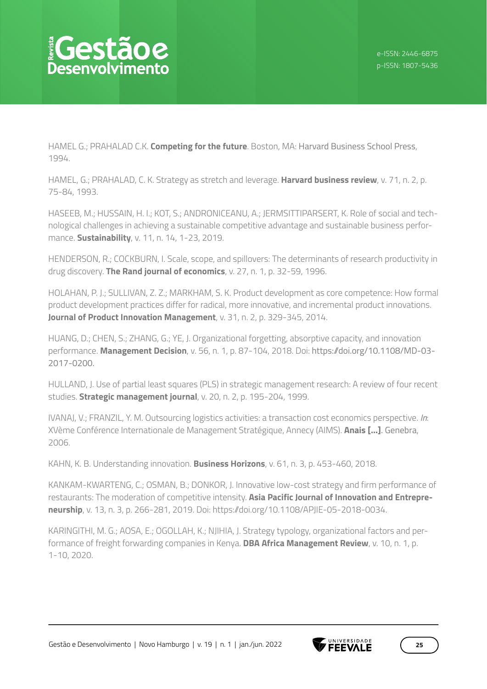HAMEL G.; PRAHALAD C.K. **Competing for the future**. Boston, MA: Harvard Business School Press, 1994.

HAMEL, G.; PRAHALAD, C. K. Strategy as stretch and leverage. **Harvard business review**, v. 71, n. 2, p. 75-84, 1993.

HASEEB, M.; HUSSAIN, H. I.; KOT, S.; ANDRONICEANU, A.; JERMSITTIPARSERT, K. Role of social and technological challenges in achieving a sustainable competitive advantage and sustainable business performance. **Sustainability**, v. 11, n. 14, 1-23, 2019.

HENDERSON, R.; COCKBURN, I. Scale, scope, and spillovers: The determinants of research productivity in drug discovery. **The Rand journal of economics**, v. 27, n. 1, p. 32-59, 1996.

HOLAHAN, P. J.; SULLIVAN, Z. Z.; MARKHAM, S. K. Product development as core competence: How formal product development practices differ for radical, more innovative, and incremental product innovations. **Journal of Product Innovation Management**, v. 31, n. 2, p. 329-345, 2014.

HUANG, D.; CHEN, S.; ZHANG, G.; YE, J. Organizational forgetting, absorptive capacity, and innovation performance. **Management Decision**, v. 56, n. 1, p. 87-104, 2018. Doi: https://doi.org/10.1108/MD-03- 2017-0200.

HULLAND, J. Use of partial least squares (PLS) in strategic management research: A review of four recent studies. **Strategic management journal**, v. 20, n. 2, p. 195-204, 1999.

IVANAJ, V.; FRANZIL, Y. M. Outsourcing logistics activities: a transaction cost economics perspective. *In*: XVème Conférence Internationale de Management Stratégique, Annecy (AIMS). **Anais [...]**. Genebra, 2006.

KAHN, K. B. Understanding innovation. **Business Horizons**, v. 61, n. 3, p. 453-460, 2018.

KANKAM-KWARTENG, C.; OSMAN, B.; DONKOR, J. Innovative low-cost strategy and firm performance of restaurants: The moderation of competitive intensity. **Asia Pacific Journal of Innovation and Entrepreneurship**, v. 13, n. 3, p. 266-281, 2019. Doi: https://doi.org/10.1108/APJIE-05-2018-0034.

KARINGITHI, M. G.; AOSA, E.; OGOLLAH, K.; NJIHIA, J. Strategy typology, organizational factors and performance of freight forwarding companies in Kenya. **DBA Africa Management Review**, v. 10, n. 1, p. 1-10, 2020.

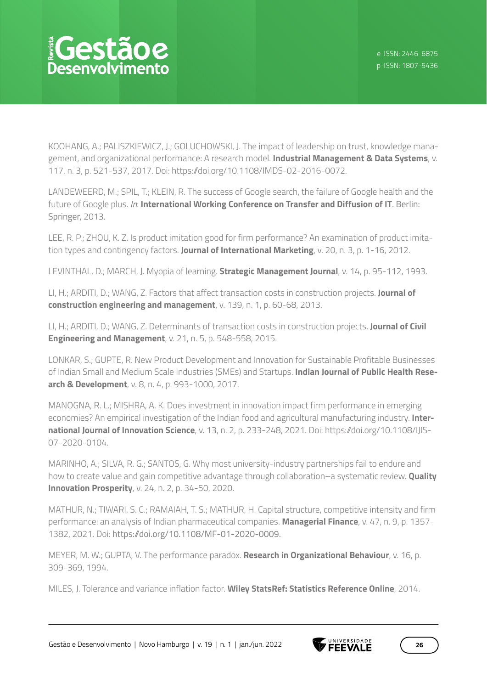KOOHANG, A.; PALISZKIEWICZ, J.; GOLUCHOWSKI, J. The impact of leadership on trust, knowledge management, and organizational performance: A research model. **Industrial Management & Data Systems**, v. 117, n. 3, p. 521-537, 2017. Doi: https://doi.org/10.1108/IMDS-02-2016-0072.

LANDEWEERD, M.; SPIL, T.; KLEIN, R. The success of Google search, the failure of Google health and the future of Google plus. *In*: **International Working Conference on Transfer and Diffusion of IT**. Berlin: Springer, 2013.

LEE, R. P.; ZHOU, K. Z. Is product imitation good for firm performance? An examination of product imitation types and contingency factors. **Journal of International Marketing**, v. 20, n. 3, p. 1-16, 2012.

LEVINTHAL, D.; MARCH, J. Myopia of learning. **Strategic Management Journal**, v. 14, p. 95-112, 1993.

LI, H.; ARDITI, D.; WANG, Z. Factors that affect transaction costs in construction projects. **Journal of construction engineering and management**, v. 139, n. 1, p. 60-68, 2013.

LI, H.; ARDITI, D.; WANG, Z. Determinants of transaction costs in construction projects. **Journal of Civil Engineering and Management**, v. 21, n. 5, p. 548-558, 2015.

LONKAR, S.; GUPTE, R. New Product Development and Innovation for Sustainable Profitable Businesses of Indian Small and Medium Scale Industries (SMEs) and Startups. **Indian Journal of Public Health Research & Development**, v. 8, n. 4, p. 993-1000, 2017.

MANOGNA, R. L.; MISHRA, A. K. Does investment in innovation impact firm performance in emerging economies? An empirical investigation of the Indian food and agricultural manufacturing industry. **International Journal of Innovation Science**, v. 13, n. 2, p. 233-248, 2021. Doi: https://doi.org/10.1108/IJIS-07-2020-0104.

MARINHO, A.; SILVA, R. G.; SANTOS, G. Why most university-industry partnerships fail to endure and how to create value and gain competitive advantage through collaboration–a systematic review. **Quality Innovation Prosperity**, v. 24, n. 2, p. 34-50, 2020.

MATHUR, N.; TIWARI, S. C.; RAMAIAH, T. S.; MATHUR, H. Capital structure, competitive intensity and firm performance: an analysis of Indian pharmaceutical companies. **Managerial Finance**, v. 47, n. 9, p. 1357- 1382, 2021. Doi: https://doi.org/10.1108/MF-01-2020-0009.

MEYER, M. W.; GUPTA, V. The performance paradox. **Research in Organizational Behaviour**, v. 16, p. 309-369, 1994.

MILES, J. Tolerance and variance inflation factor. **Wiley StatsRef: Statistics Reference Online**, 2014.

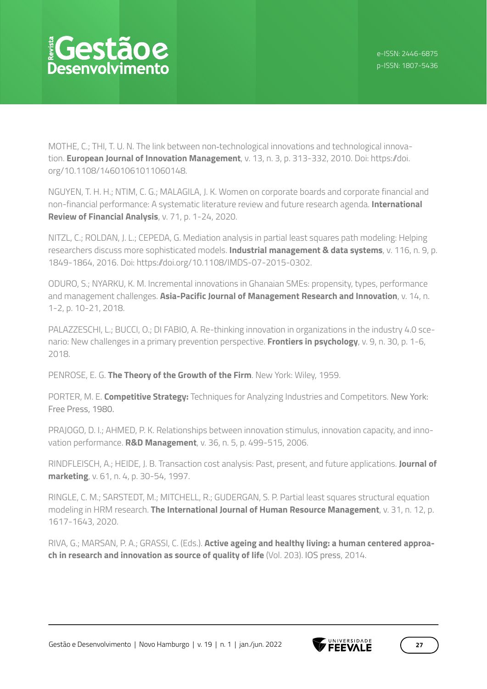MOTHE, C.; THI, T. U. N. The link between non-technological innovations and technological innovation. **European Journal of Innovation Management**, v. 13, n. 3, p. 313-332, 2010. Doi: https://doi. org/10.1108/14601061011060148.

NGUYEN, T. H. H.; NTIM, C. G.; MALAGILA, J. K. Women on corporate boards and corporate financial and non-financial performance: A systematic literature review and future research agenda. **International Review of Financial Analysis**, v. 71, p. 1-24, 2020.

NITZL, C.; ROLDAN, J. L.; CEPEDA, G. Mediation analysis in partial least squares path modeling: Helping researchers discuss more sophisticated models. **Industrial management & data systems**, v. 116, n. 9, p. 1849-1864, 2016. Doi: https://doi.org/10.1108/IMDS-07-2015-0302.

ODURO, S.; NYARKU, K. M. Incremental innovations in Ghanaian SMEs: propensity, types, performance and management challenges. **Asia-Pacific Journal of Management Research and Innovation**, v. 14, n. 1-2, p. 10-21, 2018.

PALAZZESCHI, L.; BUCCI, O.; DI FABIO, A. Re-thinking innovation in organizations in the industry 4.0 scenario: New challenges in a primary prevention perspective. **Frontiers in psychology**, v. 9, n. 30, p. 1-6, 2018.

PENROSE, E. G. **The Theory of the Growth of the Firm**. New York: Wiley, 1959.

PORTER, M. E. **Competitive Strategy:** Techniques for Analyzing Industries and Competitors. New York: Free Press, 1980.

PRAJOGO, D. I.; AHMED, P. K. Relationships between innovation stimulus, innovation capacity, and innovation performance. **R&D Management**, v. 36, n. 5, p. 499-515, 2006.

RINDFLEISCH, A.; HEIDE, J. B. Transaction cost analysis: Past, present, and future applications. **Journal of marketing**, v. 61, n. 4, p. 30-54, 1997.

RINGLE, C. M.; SARSTEDT, M.; MITCHELL, R.; GUDERGAN, S. P. Partial least squares structural equation modeling in HRM research. **The International Journal of Human Resource Management**, v. 31, n. 12, p. 1617-1643, 2020.

RIVA, G.; MARSAN, P. A.; GRASSI, C. (Eds.). **Active ageing and healthy living: a human centered approach in research and innovation as source of quality of life** (Vol. 203). IOS press, 2014.

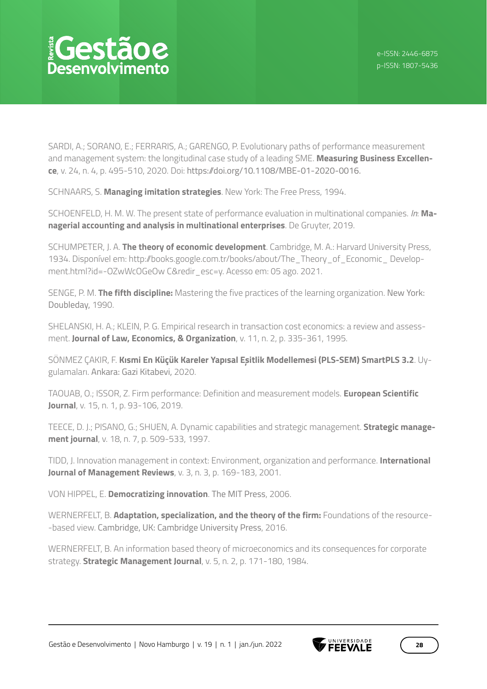# *<u> ¡Gestãoe</u>* esenvolvimento

SARDI, A.; SORANO, E.; FERRARIS, A.; GARENGO, P. Evolutionary paths of performance measurement and management system: the longitudinal case study of a leading SME. **Measuring Business Excellence**, v. 24, n. 4, p. 495-510, 2020. Doi: https://doi.org/10.1108/MBE-01-2020-0016.

SCHNAARS, S. **Managing imitation strategies**. New York: The Free Press, 1994.

SCHOENFELD, H. M. W. The present state of performance evaluation in multinational companies. *In*: **Managerial accounting and analysis in multinational enterprises**. De Gruyter, 2019.

SCHUMPETER, J. A. **The theory of economic development**. Cambridge, M. A.: Harvard University Press, 1934. Disponível em: http://books.google.com.tr/books/about/The\_Theory\_of\_Economic\_ Development.html?id=-OZwWcOGeOw C&redir\_esc=y. Acesso em: 05 ago. 2021.

SENGE, P. M. **The fifth discipline:** Mastering the five practices of the learning organization. New York: Doubleday, 1990.

SHELANSKI, H. A.; KLEIN, P. G. Empirical research in transaction cost economics: a review and assessment. **Journal of Law, Economics, & Organization**, v. 11, n. 2, p. 335-361, 1995.

SÖNMEZ ÇAKIR, F. **Kısmi En Küçük Kareler Yapısal Eşitlik Modellemesi (PLS-SEM) SmartPLS 3.2**. Uygulamaları. Ankara: Gazi Kitabevi, 2020.

TAOUAB, O.; ISSOR, Z. Firm performance: Definition and measurement models. **European Scientific Journal**, v. 15, n. 1, p. 93-106, 2019.

TEECE, D. J.; PISANO, G.; SHUEN, A. Dynamic capabilities and strategic management. **Strategic management journal**, v. 18, n. 7, p. 509-533, 1997.

TIDD, J. Innovation management in context: Environment, organization and performance. **International Journal of Management Reviews**, v. 3, n. 3, p. 169-183, 2001.

VON HIPPEL, E. **Democratizing innovation**. The MIT Press, 2006.

WERNERFELT, B. **Adaptation, specialization, and the theory of the firm:** Foundations of the resource- -based view. Cambridge, UK: Cambridge University Press, 2016.

WERNERFELT, B. An information based theory of microeconomics and its consequences for corporate strategy. **Strategic Management Journal**, v. 5, n. 2, p. 171-180, 1984.